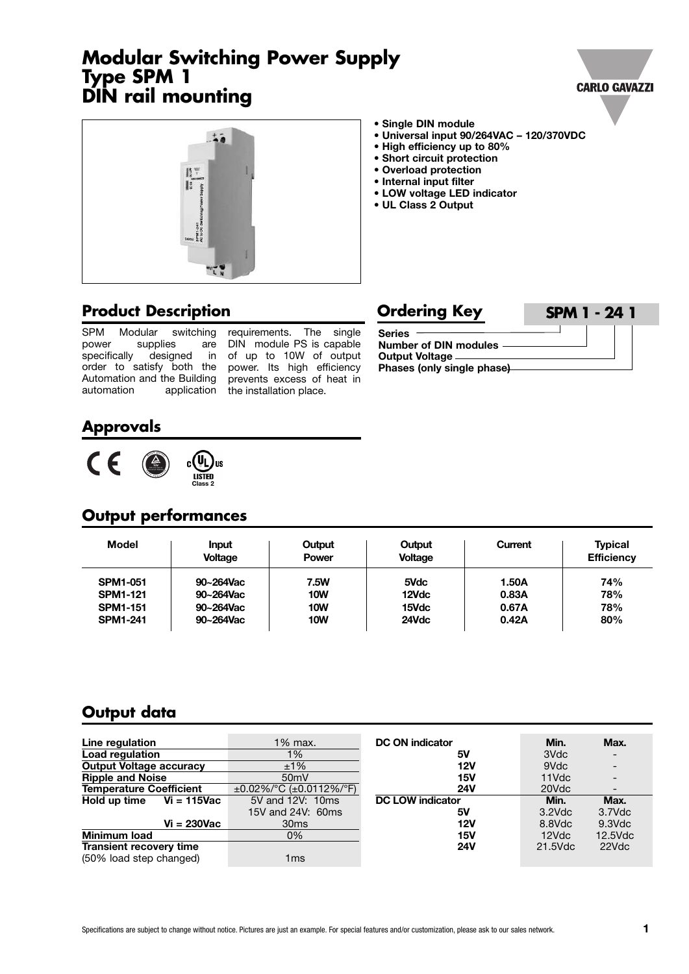# **Modular Switching Power Supply Type SPM 1 DIN rail mounting**





- **• Single DIN module**
- **• Universal input 90/264VAC – 120/370VDC**
- **• High efficiency up to 80%**
- **• Short circuit protection**
- **• Overload protection**
- **• Internal input filter**
- **• LOW voltage LED indicator**
- **• UL Class 2 Output**

## **Product Description**

SPM Modular switching<br>power supplies are supplies specifically designed in order to satisfy both the power. Its high efficiency Automation and the Building automation application

requirements. The single DIN module PS is capable of up to 10W of output prevents excess of heat in the installation place.

| <b>Ordering Key</b>                                                                        | <b>SPM 1 - 24 1</b> |
|--------------------------------------------------------------------------------------------|---------------------|
| <b>Series</b><br>Number of DIN modules -<br>Output Voltage —<br>Phases (only single phase) |                     |

## **Approvals**



## **Output performances**

| <b>Model</b>    | <b>Input</b><br><b>Voltage</b> | Output<br><b>Power</b> | Output<br><b>Voltage</b> | Current | <b>Typical</b><br><b>Efficiency</b> |
|-----------------|--------------------------------|------------------------|--------------------------|---------|-------------------------------------|
| <b>SPM1-051</b> | 90~264Vac                      | 7.5W                   | 5Vdc                     | 1.50A   | 74%                                 |
| <b>SPM1-121</b> | 90~264Vac                      | <b>10W</b>             | 12Vdc                    | 0.83A   | 78%                                 |
| <b>SPM1-151</b> | 90~264Vac                      | <b>10W</b>             | 15Vdc                    | 0.67A   | 78%                                 |
| <b>SPM1-241</b> | 90~264Vac                      | <b>10W</b>             | 24Vdc                    | 0.42A   | 80%                                 |

## **Output data**

| Line regulation                | 1% max.                                | <b>DC ON indicator</b>  | Min.      | Max.       |
|--------------------------------|----------------------------------------|-------------------------|-----------|------------|
| <b>Load regulation</b>         | 1%                                     | 5ν                      | 3Vdc      |            |
| <b>Output Voltage accuracy</b> | ±1%                                    | 12V                     | 9Vdc      |            |
| <b>Ripple and Noise</b>        | 50mV                                   | 15V                     | 11Vdc     |            |
| <b>Temperature Coefficient</b> | $\pm 0.02\%$ /°C ( $\pm 0.0112\%$ /°F) | <b>24V</b>              | 20Vdc     |            |
| Vi = 115Vac<br>Hold up time    | 5V and 12V: 10ms                       | <b>DC LOW indicator</b> | Min.      | Max.       |
|                                | 15V and 24V: 60ms                      | 5ν                      | $3.2$ Vdc | 3.7Vdc     |
| $Vi = 230Vac$                  | 30 <sub>ms</sub>                       | 12V                     | 8.8Vdc    | $9.3$ Vdc  |
| <b>Minimum load</b>            | 0%                                     | 15V                     | 12Vdc     | $12.5$ Vdc |
| <b>Transient recovery time</b> |                                        | <b>24V</b>              | 21.5Vdc   | 22Vdc      |
| (50% load step changed)        | 1ms                                    |                         |           |            |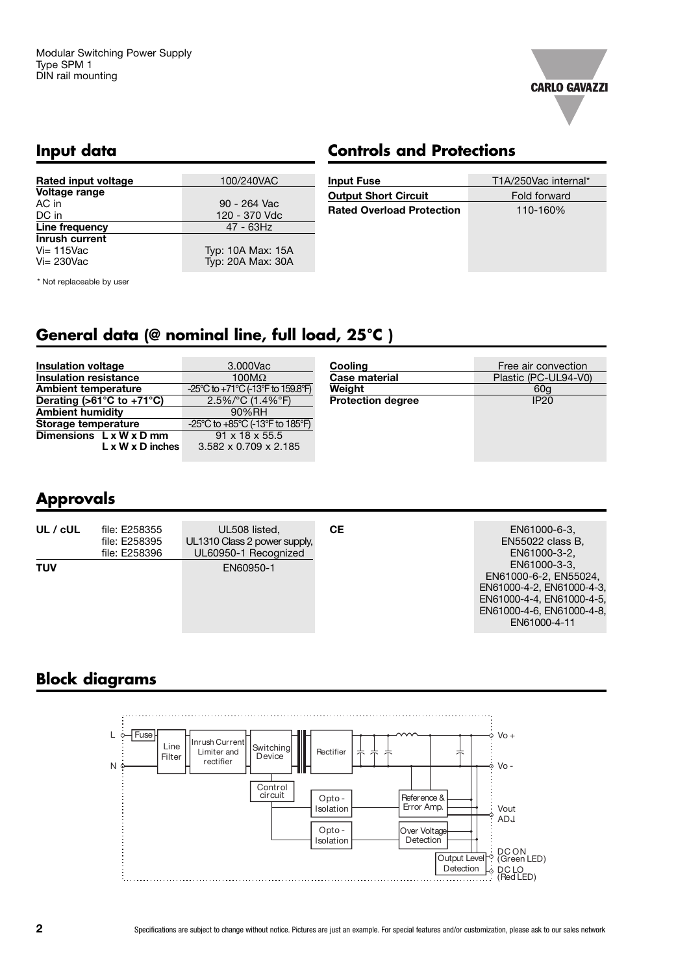

### **Input data**

# **Controls and Protections**

| Rated input voltage   | 100/240VAC        |
|-----------------------|-------------------|
| Voltage range         |                   |
| AC in                 | 90 - 264 Vac      |
| DC in                 | 120 - 370 Vdc     |
| Line frequency        | 47 - 63Hz         |
| <b>Inrush current</b> |                   |
| $Vi = 115$ Vac        | Typ: 10A Max: 15A |
| $Vi = 230$ Vac        | Typ: 20A Max: 30A |

| <b>Input Fuse</b>                | T1A/250Vac internal* |
|----------------------------------|----------------------|
| <b>Output Short Circuit</b>      | Fold forward         |
| <b>Rated Overload Protection</b> | 110-160%             |
|                                  |                      |
|                                  |                      |
|                                  |                      |

\* Not replaceable by user

# **General data (@ nominal line, full load, 25°C )**

| <b>Insulation voltage</b>                       | 3.000Vac                                                                    | Cooling                  | Free air convection  |
|-------------------------------------------------|-----------------------------------------------------------------------------|--------------------------|----------------------|
| <b>Insulation resistance</b>                    | 100 $M\Omega$                                                               | <b>Case material</b>     | Plastic (PC-UL94-V0) |
| <b>Ambient temperature</b>                      | $-25^{\circ}$ C to $+71^{\circ}$ C (-13 $^{\circ}$ F to 159.8 $^{\circ}$ F) | Weight                   | 60a                  |
| Derating ( $>61^{\circ}$ C to +71 $^{\circ}$ C) | $2.5\%$ /°C (1.4%°F)                                                        | <b>Protection degree</b> | <b>IP20</b>          |
| <b>Ambient humidity</b>                         | 90%RH                                                                       |                          |                      |
| Storage temperature                             | -25°C to +85°C (-13°F to 185°F)                                             |                          |                      |
| Dimensions $L \times W \times D$ mm             | $91 \times 18 \times 55.5$                                                  |                          |                      |
| $L \times W \times D$ inches                    | $3.582 \times 0.709 \times 2.185$                                           |                          |                      |

## **Approvals**

| UL / cUL   | file: E258355<br>file: E258395<br>file: E258396 | UL508 listed,<br>UL1310 Class 2 power supply,<br>UL60950-1 Recognized | CЕ | EN61000-6-3,<br>EN55022 class B,<br>EN61000-3-2.                                                                                             |
|------------|-------------------------------------------------|-----------------------------------------------------------------------|----|----------------------------------------------------------------------------------------------------------------------------------------------|
| <b>TUV</b> |                                                 | EN60950-1                                                             |    | EN61000-3-3.<br>EN61000-6-2, EN55024,<br>EN61000-4-2, EN61000-4-3.<br>EN61000-4-4, EN61000-4-5,<br>EN61000-4-6, EN61000-4-8,<br>EN61000-4-11 |

# **Block diagrams**